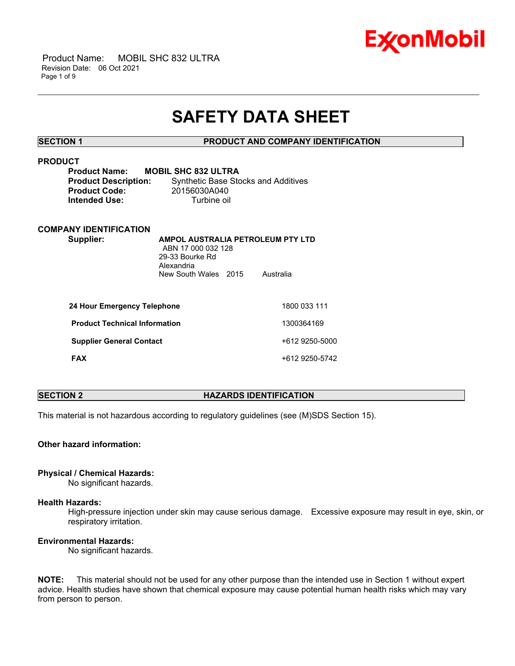

 Product Name: MOBIL SHC 832 ULTRA Revision Date: 06 Oct 2021 Page 1 of 9

## **SAFETY DATA SHEET**

\_\_\_\_\_\_\_\_\_\_\_\_\_\_\_\_\_\_\_\_\_\_\_\_\_\_\_\_\_\_\_\_\_\_\_\_\_\_\_\_\_\_\_\_\_\_\_\_\_\_\_\_\_\_\_\_\_\_\_\_\_\_\_\_\_\_\_\_\_\_\_\_\_\_\_\_\_\_\_\_\_\_\_\_\_\_\_\_\_\_\_\_\_\_\_\_\_\_\_\_\_\_\_\_\_\_\_\_\_\_\_\_\_\_\_\_\_\_

**SECTION 1 PRODUCT AND COMPANY IDENTIFICATION**

| <b>PRODUCT</b><br>Product Name: MOBIL SHC 832 ULTRA |                                            |
|-----------------------------------------------------|--------------------------------------------|
| <b>Product Description:</b>                         | <b>Synthetic Base Stocks and Additives</b> |
| <b>Product Code:</b>                                | 20156030A040                               |
| <b>Intended Use:</b>                                | Turbine oil                                |
|                                                     |                                            |
| <b>COMPANY IDENTIFICATION</b>                       |                                            |

**Supplier: A** 

| AMPOL AUSTRALIA PETROLEUM PTY LTD |           |
|-----------------------------------|-----------|
| ABN 17 000 032 128                |           |
| 29-33 Bourke Rd                   |           |
| Alexandria                        |           |
| New South Wales 2015              | Australia |
|                                   |           |

| 24 Hour Emergency Telephone          | 1800 033 111   |
|--------------------------------------|----------------|
| <b>Product Technical Information</b> | 1300364169     |
| <b>Supplier General Contact</b>      | +612 9250-5000 |
| <b>FAX</b>                           | +612 9250-5742 |

### **SECTION 2 HAZARDS IDENTIFICATION**

This material is not hazardous according to regulatory guidelines (see (M)SDS Section 15).

**Other hazard information:**

### **Physical / Chemical Hazards:**

No significant hazards.

### **Health Hazards:**

High-pressure injection under skin may cause serious damage. Excessive exposure may result in eye, skin, or respiratory irritation.

### **Environmental Hazards:**

No significant hazards.

**NOTE:** This material should not be used for any other purpose than the intended use in Section 1 without expert advice. Health studies have shown that chemical exposure may cause potential human health risks which may vary from person to person.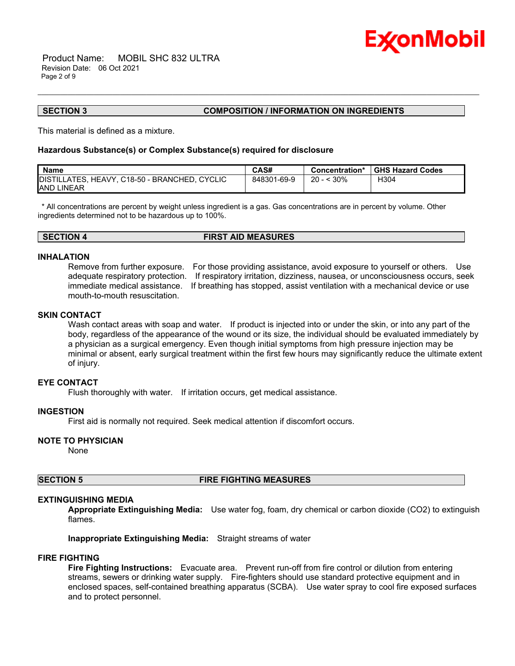

 Product Name: MOBIL SHC 832 ULTRA Revision Date: 06 Oct 2021 Page 2 of 9

#### **SECTION 3 COMPOSITION / INFORMATION ON INGREDIENTS**

This material is defined as a mixture.

#### **Hazardous Substance(s) or Complex Substance(s) required for disclosure**

| <b>Name</b>                                   | CAS#        | Concentration*   | <b>GHS Hazard Codes</b> |
|-----------------------------------------------|-------------|------------------|-------------------------|
| DISTILLATES, HEAVY, C18-50 - BRANCHED, CYCLIC | 848301-69-9 | :30%<br>$20 - 5$ | H304                    |
| <b>JAND LINEAR</b>                            |             |                  |                         |

\_\_\_\_\_\_\_\_\_\_\_\_\_\_\_\_\_\_\_\_\_\_\_\_\_\_\_\_\_\_\_\_\_\_\_\_\_\_\_\_\_\_\_\_\_\_\_\_\_\_\_\_\_\_\_\_\_\_\_\_\_\_\_\_\_\_\_\_\_\_\_\_\_\_\_\_\_\_\_\_\_\_\_\_\_\_\_\_\_\_\_\_\_\_\_\_\_\_\_\_\_\_\_\_\_\_\_\_\_\_\_\_\_\_\_\_\_\_

\* All concentrations are percent by weight unless ingredient is a gas. Gas concentrations are in percent by volume. Other ingredients determined not to be hazardous up to 100%.

#### **INHALATION**

Remove from further exposure. For those providing assistance, avoid exposure to yourself or others. Use adequate respiratory protection. If respiratory irritation, dizziness, nausea, or unconsciousness occurs, seek immediate medical assistance. If breathing has stopped, assist ventilation with a mechanical device or use mouth-to-mouth resuscitation.

### **SKIN CONTACT**

Wash contact areas with soap and water. If product is injected into or under the skin, or into any part of the body, regardless of the appearance of the wound or its size, the individual should be evaluated immediately by a physician as a surgical emergency. Even though initial symptoms from high pressure injection may be minimal or absent, early surgical treatment within the first few hours may significantly reduce the ultimate extent of injury.

### **EYE CONTACT**

Flush thoroughly with water. If irritation occurs, get medical assistance.

### **INGESTION**

First aid is normally not required. Seek medical attention if discomfort occurs.

### **NOTE TO PHYSICIAN**

None

#### **SECTION 5 FIRE FIGHTING MEASURES**

#### **EXTINGUISHING MEDIA**

**Appropriate Extinguishing Media:** Use water fog, foam, dry chemical or carbon dioxide (CO2) to extinguish flames.

**Inappropriate Extinguishing Media:** Straight streams of water

#### **FIRE FIGHTING**

**Fire Fighting Instructions:** Evacuate area. Prevent run-off from fire control or dilution from entering streams, sewers or drinking water supply. Fire-fighters should use standard protective equipment and in enclosed spaces, self-contained breathing apparatus (SCBA). Use water spray to cool fire exposed surfaces and to protect personnel.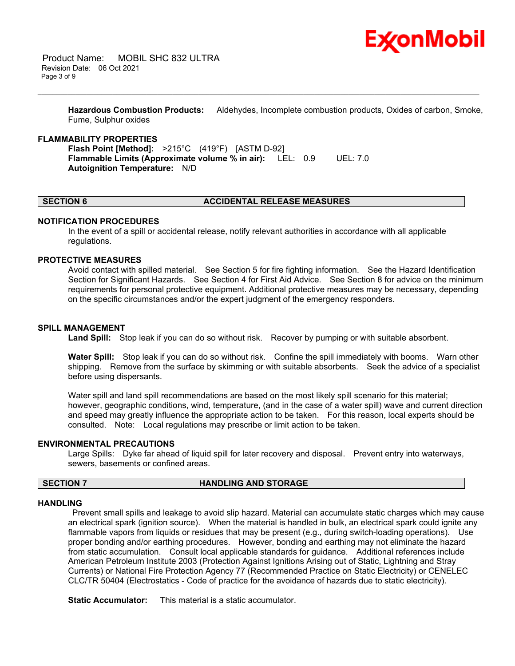

 Product Name: MOBIL SHC 832 ULTRA Revision Date: 06 Oct 2021 Page 3 of 9

> **Hazardous Combustion Products:** Aldehydes, Incomplete combustion products, Oxides of carbon, Smoke, Fume, Sulphur oxides

\_\_\_\_\_\_\_\_\_\_\_\_\_\_\_\_\_\_\_\_\_\_\_\_\_\_\_\_\_\_\_\_\_\_\_\_\_\_\_\_\_\_\_\_\_\_\_\_\_\_\_\_\_\_\_\_\_\_\_\_\_\_\_\_\_\_\_\_\_\_\_\_\_\_\_\_\_\_\_\_\_\_\_\_\_\_\_\_\_\_\_\_\_\_\_\_\_\_\_\_\_\_\_\_\_\_\_\_\_\_\_\_\_\_\_\_\_\_

#### **FLAMMABILITY PROPERTIES**

**Flash Point [Method]:** >215°C (419°F) [ASTM D-92] **Flammable Limits (Approximate volume % in air):** LEL: 0.9 UEL: 7.0 **Autoignition Temperature:** N/D

#### **SECTION 6 ACCIDENTAL RELEASE MEASURES**

#### **NOTIFICATION PROCEDURES**

In the event of a spill or accidental release, notify relevant authorities in accordance with all applicable regulations.

#### **PROTECTIVE MEASURES**

Avoid contact with spilled material. See Section 5 for fire fighting information. See the Hazard Identification Section for Significant Hazards. See Section 4 for First Aid Advice. See Section 8 for advice on the minimum requirements for personal protective equipment. Additional protective measures may be necessary, depending on the specific circumstances and/or the expert judgment of the emergency responders.

#### **SPILL MANAGEMENT**

**Land Spill:** Stop leak if you can do so without risk. Recover by pumping or with suitable absorbent.

**Water Spill:** Stop leak if you can do so without risk. Confine the spill immediately with booms. Warn other shipping. Remove from the surface by skimming or with suitable absorbents. Seek the advice of a specialist before using dispersants.

Water spill and land spill recommendations are based on the most likely spill scenario for this material; however, geographic conditions, wind, temperature, (and in the case of a water spill) wave and current direction and speed may greatly influence the appropriate action to be taken. For this reason, local experts should be consulted. Note: Local regulations may prescribe or limit action to be taken.

#### **ENVIRONMENTAL PRECAUTIONS**

Large Spills: Dyke far ahead of liquid spill for later recovery and disposal. Prevent entry into waterways, sewers, basements or confined areas.

#### **SECTION 7 HANDLING AND STORAGE**

#### **HANDLING**

Prevent small spills and leakage to avoid slip hazard. Material can accumulate static charges which may cause an electrical spark (ignition source). When the material is handled in bulk, an electrical spark could ignite any flammable vapors from liquids or residues that may be present (e.g., during switch-loading operations). Use proper bonding and/or earthing procedures. However, bonding and earthing may not eliminate the hazard from static accumulation. Consult local applicable standards for guidance. Additional references include American Petroleum Institute 2003 (Protection Against Ignitions Arising out of Static, Lightning and Stray Currents) or National Fire Protection Agency 77 (Recommended Practice on Static Electricity) or CENELEC CLC/TR 50404 (Electrostatics - Code of practice for the avoidance of hazards due to static electricity).

**Static Accumulator:** This material is a static accumulator.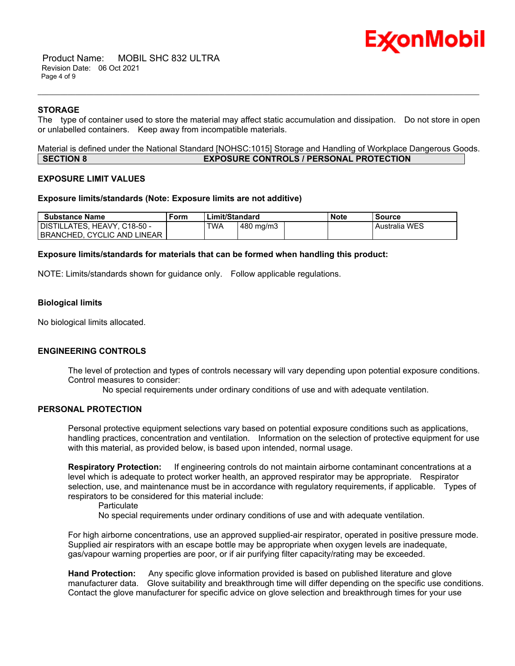# Ex⁄onMobil

 Product Name: MOBIL SHC 832 ULTRA Revision Date: 06 Oct 2021 Page 4 of 9

### **STORAGE**

The type of container used to store the material may affect static accumulation and dissipation. Do not store in open or unlabelled containers. Keep away from incompatible materials.

\_\_\_\_\_\_\_\_\_\_\_\_\_\_\_\_\_\_\_\_\_\_\_\_\_\_\_\_\_\_\_\_\_\_\_\_\_\_\_\_\_\_\_\_\_\_\_\_\_\_\_\_\_\_\_\_\_\_\_\_\_\_\_\_\_\_\_\_\_\_\_\_\_\_\_\_\_\_\_\_\_\_\_\_\_\_\_\_\_\_\_\_\_\_\_\_\_\_\_\_\_\_\_\_\_\_\_\_\_\_\_\_\_\_\_\_\_\_

Material is defined under the National Standard [NOHSC:1015] Storage and Handling of Workplace Dangerous Goods. **SECTION 8 EXPOSURE CONTROLS / PERSONAL PROTECTION**

### **EXPOSURE LIMIT VALUES**

#### **Exposure limits/standards (Note: Exposure limits are not additive)**

| <b>Substance Name</b>          | Limit/Standard<br><sup>⊑</sup> orm |     | <b>Note</b>        | Source |  |                      |
|--------------------------------|------------------------------------|-----|--------------------|--------|--|----------------------|
| I DISTILLATES. HEAVY. C18-50 - |                                    | TWA | $480 \text{ mg/m}$ |        |  | <b>Australia WES</b> |
| I BRANCHED. CYCLIC AND LINEAR  |                                    |     |                    |        |  |                      |

#### **Exposure limits/standards for materials that can be formed when handling this product:**

NOTE: Limits/standards shown for guidance only. Follow applicable regulations.

### **Biological limits**

No biological limits allocated.

### **ENGINEERING CONTROLS**

The level of protection and types of controls necessary will vary depending upon potential exposure conditions. Control measures to consider:

No special requirements under ordinary conditions of use and with adequate ventilation.

#### **PERSONAL PROTECTION**

Personal protective equipment selections vary based on potential exposure conditions such as applications, handling practices, concentration and ventilation. Information on the selection of protective equipment for use with this material, as provided below, is based upon intended, normal usage.

**Respiratory Protection:** If engineering controls do not maintain airborne contaminant concentrations at a level which is adequate to protect worker health, an approved respirator may be appropriate. Respirator selection, use, and maintenance must be in accordance with regulatory requirements, if applicable. Types of respirators to be considered for this material include:

**Particulate** 

No special requirements under ordinary conditions of use and with adequate ventilation.

For high airborne concentrations, use an approved supplied-air respirator, operated in positive pressure mode. Supplied air respirators with an escape bottle may be appropriate when oxygen levels are inadequate, gas/vapour warning properties are poor, or if air purifying filter capacity/rating may be exceeded.

**Hand Protection:** Any specific glove information provided is based on published literature and glove manufacturer data. Glove suitability and breakthrough time will differ depending on the specific use conditions. Contact the glove manufacturer for specific advice on glove selection and breakthrough times for your use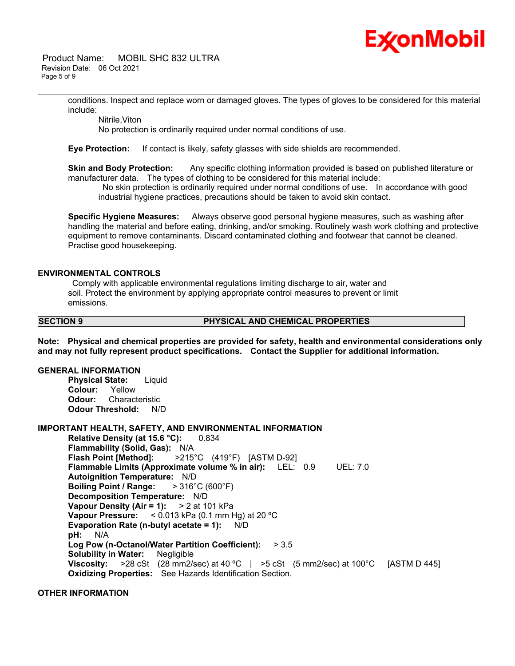

 Product Name: MOBIL SHC 832 ULTRA Revision Date: 06 Oct 2021 Page 5 of 9

> conditions. Inspect and replace worn or damaged gloves. The types of gloves to be considered for this material include:

\_\_\_\_\_\_\_\_\_\_\_\_\_\_\_\_\_\_\_\_\_\_\_\_\_\_\_\_\_\_\_\_\_\_\_\_\_\_\_\_\_\_\_\_\_\_\_\_\_\_\_\_\_\_\_\_\_\_\_\_\_\_\_\_\_\_\_\_\_\_\_\_\_\_\_\_\_\_\_\_\_\_\_\_\_\_\_\_\_\_\_\_\_\_\_\_\_\_\_\_\_\_\_\_\_\_\_\_\_\_\_\_\_\_\_\_\_\_

Nitrile,Viton

No protection is ordinarily required under normal conditions of use.

**Eye Protection:** If contact is likely, safety glasses with side shields are recommended.

**Skin and Body Protection:** Any specific clothing information provided is based on published literature or manufacturer data. The types of clothing to be considered for this material include:

No skin protection is ordinarily required under normal conditions of use. In accordance with good industrial hygiene practices, precautions should be taken to avoid skin contact.

**Specific Hygiene Measures:** Always observe good personal hygiene measures, such as washing after handling the material and before eating, drinking, and/or smoking. Routinely wash work clothing and protective equipment to remove contaminants. Discard contaminated clothing and footwear that cannot be cleaned. Practise good housekeeping.

#### **ENVIRONMENTAL CONTROLS**

Comply with applicable environmental regulations limiting discharge to air, water and soil. Protect the environment by applying appropriate control measures to prevent or limit emissions.

**SECTION 9 PHYSICAL AND CHEMICAL PROPERTIES**

**Note: Physical and chemical properties are provided for safety, health and environmental considerations only and may not fully represent product specifications. Contact the Supplier for additional information.**

#### **GENERAL INFORMATION**

**Physical State:** Liquid **Colour:** Yellow **Odour:** Characteristic **Odour Threshold:** N/D

#### **IMPORTANT HEALTH, SAFETY, AND ENVIRONMENTAL INFORMATION**

**Relative Density (at 15.6 °C):** 0.834 **Flammability (Solid, Gas):** N/A **Flash Point [Method]:** >215°C (419°F) [ASTM D-92] **Flammable Limits (Approximate volume % in air):** LEL: 0.9 UEL: 7.0 **Autoignition Temperature:** N/D **Boiling Point / Range:** > 316°C (600°F) **Decomposition Temperature:** N/D **Vapour Density (Air = 1):** > 2 at 101 kPa **Vapour Pressure:** < 0.013 kPa (0.1 mm Hg) at 20 ºC **Evaporation Rate (n-butyl acetate = 1):** N/D **pH:** N/A **Log Pow (n-Octanol/Water Partition Coefficient):** > 3.5 **Solubility in Water:** Negligible **Viscosity:** >28 cSt (28 mm2/sec) at 40 °C | >5 cSt (5 mm2/sec) at 100°C [ASTM D 445] **Oxidizing Properties:** See Hazards Identification Section.

#### **OTHER INFORMATION**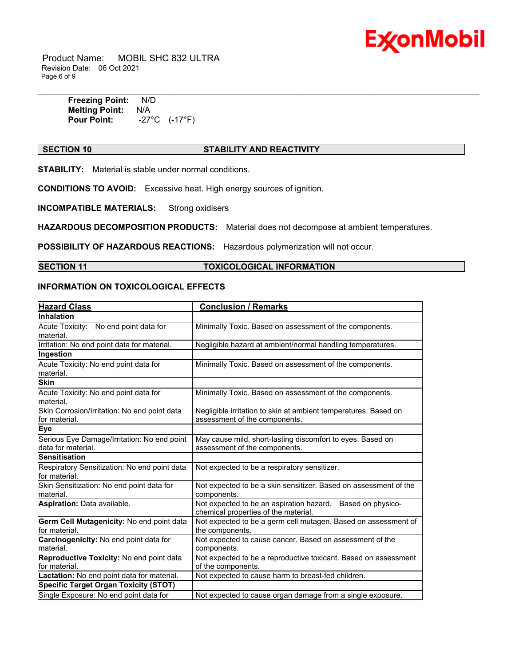

 Product Name: MOBIL SHC 832 ULTRA Revision Date: 06 Oct 2021 Page 6 of 9

\_\_\_\_\_\_\_\_\_\_\_\_\_\_\_\_\_\_\_\_\_\_\_\_\_\_\_\_\_\_\_\_\_\_\_\_\_\_\_\_\_\_\_\_\_\_\_\_\_\_\_\_\_\_\_\_\_\_\_\_\_\_\_\_\_\_\_\_\_\_\_\_\_\_\_\_\_\_\_\_\_\_\_\_\_\_\_\_\_\_\_\_\_\_\_\_\_\_\_\_\_\_\_\_\_\_\_\_\_\_\_\_\_\_\_\_\_\_ **Freezing Point:** N/D **Melting Point:** N/A **Pour Point:** -27°C (-17°F)

#### **SECTION 10 STABILITY AND REACTIVITY**

**STABILITY:** Material is stable under normal conditions.

**CONDITIONS TO AVOID:** Excessive heat. High energy sources of ignition.

**INCOMPATIBLE MATERIALS:** Strong oxidisers

**HAZARDOUS DECOMPOSITION PRODUCTS:** Material does not decompose at ambient temperatures.

**POSSIBILITY OF HAZARDOUS REACTIONS:** Hazardous polymerization will not occur.

### **SECTION 11 TOXICOLOGICAL INFORMATION**

#### **INFORMATION ON TOXICOLOGICAL EFFECTS**

| <b>Hazard Class</b>                                               | <b>Conclusion / Remarks</b>                                                                        |
|-------------------------------------------------------------------|----------------------------------------------------------------------------------------------------|
| Inhalation                                                        |                                                                                                    |
| Acute Toxicity: No end point data for<br>material.                | Minimally Toxic. Based on assessment of the components.                                            |
| Irritation: No end point data for material.                       | Negligible hazard at ambient/normal handling temperatures.                                         |
| Ingestion                                                         |                                                                                                    |
| Acute Toxicity: No end point data for<br>material.                | Minimally Toxic. Based on assessment of the components.                                            |
| <b>Skin</b>                                                       |                                                                                                    |
| Acute Toxicity: No end point data for<br>material.                | Minimally Toxic. Based on assessment of the components.                                            |
| Skin Corrosion/Irritation: No end point data<br>lfor material.    | Negligible irritation to skin at ambient temperatures. Based on<br>assessment of the components.   |
| Eye                                                               |                                                                                                    |
| Serious Eye Damage/Irritation: No end point<br>data for material. | May cause mild, short-lasting discomfort to eyes. Based on<br>assessment of the components.        |
| <b>Sensitisation</b>                                              |                                                                                                    |
| Respiratory Sensitization: No end point data<br>lfor material.    | Not expected to be a respiratory sensitizer.                                                       |
| Skin Sensitization: No end point data for<br>material.            | Not expected to be a skin sensitizer. Based on assessment of the<br>components.                    |
| Aspiration: Data available.                                       | Not expected to be an aspiration hazard. Based on physico-<br>chemical properties of the material. |
| Germ Cell Mutagenicity: No end point data<br>for material.        | Not expected to be a germ cell mutagen. Based on assessment of<br>the components.                  |
| Carcinogenicity: No end point data for<br>material.               | Not expected to cause cancer. Based on assessment of the<br>components.                            |
| Reproductive Toxicity: No end point data<br>for material.         | Not expected to be a reproductive toxicant. Based on assessment<br>of the components.              |
| Lactation: No end point data for material.                        | Not expected to cause harm to breast-fed children.                                                 |
| Specific Target Organ Toxicity (STOT)                             |                                                                                                    |
| Single Exposure: No end point data for                            | Not expected to cause organ damage from a single exposure.                                         |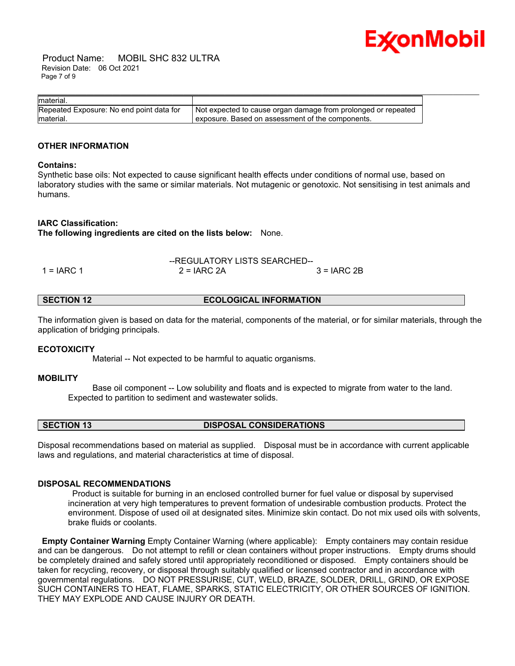

 Product Name: MOBIL SHC 832 ULTRA Revision Date: 06 Oct 2021 Page 7 of 9

| material.                                |                                                               |
|------------------------------------------|---------------------------------------------------------------|
| Repeated Exposure: No end point data for | Not expected to cause organ damage from prolonged or repeated |
| material.                                | exposure. Based on assessment of the components.              |

#### **OTHER INFORMATION**

#### **Contains:**

Synthetic base oils: Not expected to cause significant health effects under conditions of normal use, based on laboratory studies with the same or similar materials. Not mutagenic or genotoxic. Not sensitising in test animals and humans.

#### **IARC Classification:**

**The following ingredients are cited on the lists below:** None.

|              | --REGULATORY LISTS SEARCHED-- |              |
|--------------|-------------------------------|--------------|
| $1 = IARC 1$ | $2 = IARC 2A$                 | $3 = IARC2B$ |

| <b>ECOLOGICAL INFORMATION</b><br><b>SECTION 12</b> |  |
|----------------------------------------------------|--|
|----------------------------------------------------|--|

The information given is based on data for the material, components of the material, or for similar materials, through the application of bridging principals.

### **ECOTOXICITY**

Material -- Not expected to be harmful to aquatic organisms.

#### **MOBILITY**

 Base oil component -- Low solubility and floats and is expected to migrate from water to the land. Expected to partition to sediment and wastewater solids.

#### **SECTION 13 DISPOSAL CONSIDERATIONS**

Disposal recommendations based on material as supplied. Disposal must be in accordance with current applicable laws and regulations, and material characteristics at time of disposal.

#### **DISPOSAL RECOMMENDATIONS**

Product is suitable for burning in an enclosed controlled burner for fuel value or disposal by supervised incineration at very high temperatures to prevent formation of undesirable combustion products. Protect the environment. Dispose of used oil at designated sites. Minimize skin contact. Do not mix used oils with solvents, brake fluids or coolants.

**Empty Container Warning** Empty Container Warning (where applicable): Empty containers may contain residue and can be dangerous. Do not attempt to refill or clean containers without proper instructions. Empty drums should be completely drained and safely stored until appropriately reconditioned or disposed. Empty containers should be taken for recycling, recovery, or disposal through suitably qualified or licensed contractor and in accordance with governmental regulations. DO NOT PRESSURISE, CUT, WELD, BRAZE, SOLDER, DRILL, GRIND, OR EXPOSE SUCH CONTAINERS TO HEAT, FLAME, SPARKS, STATIC ELECTRICITY, OR OTHER SOURCES OF IGNITION. THEY MAY EXPLODE AND CAUSE INJURY OR DEATH.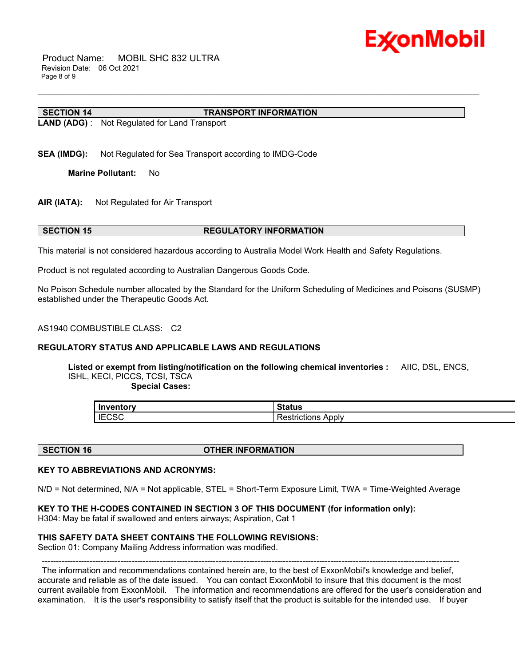

 Product Name: MOBIL SHC 832 ULTRA Revision Date: 06 Oct 2021 Page 8 of 9

#### **SECTION 14 TRANSPORT INFORMATION**

**LAND (ADG)** : Not Regulated for Land Transport

**SEA (IMDG):** Not Regulated for Sea Transport according to IMDG-Code

**Marine Pollutant:** No

**AIR (IATA):** Not Regulated for Air Transport

#### **SECTION 15 REGULATORY INFORMATION**

This material is not considered hazardous according to Australia Model Work Health and Safety Regulations.

Product is not regulated according to Australian Dangerous Goods Code.

No Poison Schedule number allocated by the Standard for the Uniform Scheduling of Medicines and Poisons (SUSMP) established under the Therapeutic Goods Act.

\_\_\_\_\_\_\_\_\_\_\_\_\_\_\_\_\_\_\_\_\_\_\_\_\_\_\_\_\_\_\_\_\_\_\_\_\_\_\_\_\_\_\_\_\_\_\_\_\_\_\_\_\_\_\_\_\_\_\_\_\_\_\_\_\_\_\_\_\_\_\_\_\_\_\_\_\_\_\_\_\_\_\_\_\_\_\_\_\_\_\_\_\_\_\_\_\_\_\_\_\_\_\_\_\_\_\_\_\_\_\_\_\_\_\_\_\_\_

#### AS1940 COMBUSTIBLE CLASS: C2

#### **REGULATORY STATUS AND APPLICABLE LAWS AND REGULATIONS**

**Listed or exempt from listing/notification on the following chemical inventories :** AIIC, DSL, ENCS, ISHL, KECI, PICCS, TCSI, TSCA

 **Special Cases:**

| Inventory    | วเดเนจ                         |
|--------------|--------------------------------|
| <b>IECSC</b> | Apply<br>---------<br>TICTIONS |

**SECTION 16 OTHER INFORMATION**

#### **KEY TO ABBREVIATIONS AND ACRONYMS:**

N/D = Not determined, N/A = Not applicable, STEL = Short-Term Exposure Limit, TWA = Time-Weighted Average

#### **KEY TO THE H-CODES CONTAINED IN SECTION 3 OF THIS DOCUMENT (for information only):**

H304: May be fatal if swallowed and enters airways; Aspiration, Cat 1

#### **THIS SAFETY DATA SHEET CONTAINS THE FOLLOWING REVISIONS:**

Section 01: Company Mailing Address information was modified.

----------------------------------------------------------------------------------------------------------------------------------------------------- The information and recommendations contained herein are, to the best of ExxonMobil's knowledge and belief, accurate and reliable as of the date issued. You can contact ExxonMobil to insure that this document is the most current available from ExxonMobil. The information and recommendations are offered for the user's consideration and examination. It is the user's responsibility to satisfy itself that the product is suitable for the intended use. If buyer